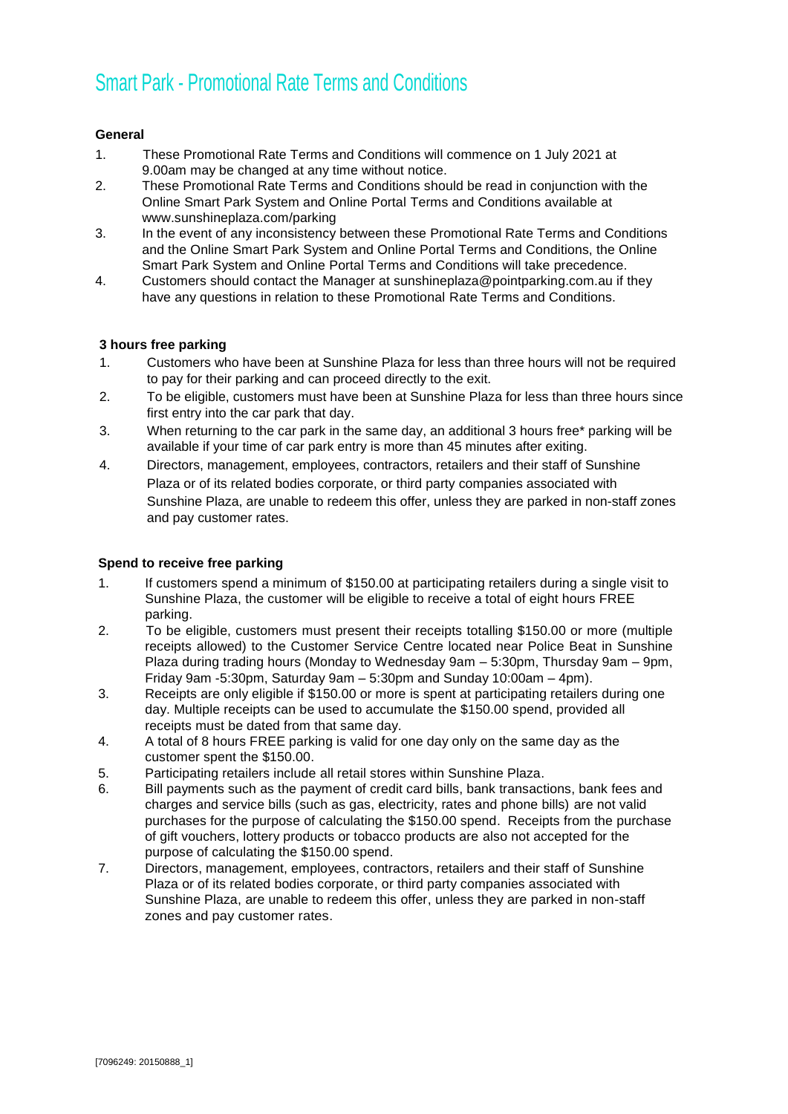# Smart Park - Promotional Rate Terms and Conditions

## **General**

- 1. These Promotional Rate Terms and Conditions will commence on 1 July 2021 at 9.00am may be changed at any time without notice.
- 2. These Promotional Rate Terms and Conditions should be read in conjunction with the Online Smart Park System and Online Portal Terms and Conditions available at www.sunshineplaza.com/parking
- 3. In the event of any inconsistency between these Promotional Rate Terms and Conditions and the Online Smart Park System and Online Portal Terms and Conditions, the Online Smart Park System and Online Portal Terms and Conditions will take precedence.
- 4. Customers should contact the Manager at sunshineplaza@pointparking.com.au if they have any questions in relation to these Promotional Rate Terms and Conditions.

## **3 hours free parking**

- 1. Customers who have been at Sunshine Plaza for less than three hours will not be required to pay for their parking and can proceed directly to the exit.
- 2. To be eligible, customers must have been at Sunshine Plaza for less than three hours since first entry into the car park that day.
- 3. When returning to the car park in the same day, an additional 3 hours free\* parking will be available if your time of car park entry is more than 45 minutes after exiting.
- 4. Directors, management, employees, contractors, retailers and their staff of Sunshine Plaza or of its related bodies corporate, or third party companies associated with Sunshine Plaza, are unable to redeem this offer, unless they are parked in non-staff zones and pay customer rates.

## **Spend to receive free parking**

- 1. If customers spend a minimum of \$150.00 at participating retailers during a single visit to Sunshine Plaza, the customer will be eligible to receive a total of eight hours FREE parking.
- 2. To be eligible, customers must present their receipts totalling \$150.00 or more (multiple receipts allowed) to the Customer Service Centre located near Police Beat in Sunshine Plaza during trading hours (Monday to Wednesday 9am – 5:30pm, Thursday 9am – 9pm, Friday 9am -5:30pm, Saturday 9am – 5:30pm and Sunday 10:00am – 4pm).
- 3. Receipts are only eligible if \$150.00 or more is spent at participating retailers during one day. Multiple receipts can be used to accumulate the \$150.00 spend, provided all receipts must be dated from that same day.
- 4. A total of 8 hours FREE parking is valid for one day only on the same day as the customer spent the \$150.00.
- 5. Participating retailers include all retail stores within Sunshine Plaza.
- 6. Bill payments such as the payment of credit card bills, bank transactions, bank fees and charges and service bills (such as gas, electricity, rates and phone bills) are not valid purchases for the purpose of calculating the \$150.00 spend. Receipts from the purchase of gift vouchers, lottery products or tobacco products are also not accepted for the purpose of calculating the \$150.00 spend.
- 7. Directors, management, employees, contractors, retailers and their staff of Sunshine Plaza or of its related bodies corporate, or third party companies associated with Sunshine Plaza, are unable to redeem this offer, unless they are parked in non-staff zones and pay customer rates.